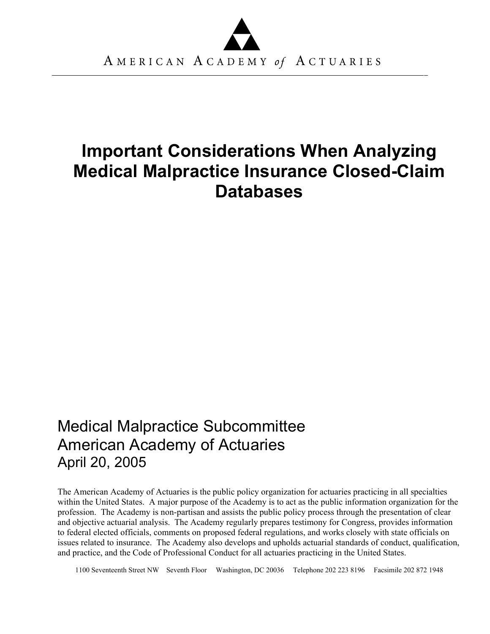# **Important Considerations When Analyzing Medical Malpractice Insurance Closed-Claim Databases**

## Medical Malpractice Subcommittee American Academy of Actuaries April 20, 2005

The American Academy of Actuaries is the public policy organization for actuaries practicing in all specialties within the United States. A major purpose of the Academy is to act as the public information organization for the profession. The Academy is non-partisan and assists the public policy process through the presentation of clear and objective actuarial analysis. The Academy regularly prepares testimony for Congress, provides information to federal elected officials, comments on proposed federal regulations, and works closely with state officials on issues related to insurance. The Academy also develops and upholds actuarial standards of conduct, qualification, and practice, and the Code of Professional Conduct for all actuaries practicing in the United States.

1100 Seventeenth Street NW Seventh Floor Washington, DC 20036 Telephone 202 223 8196 Facsimile 202 872 1948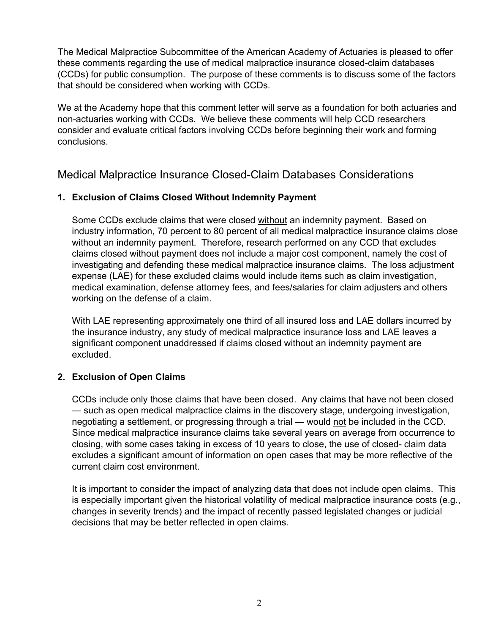The Medical Malpractice Subcommittee of the American Academy of Actuaries is pleased to offer these comments regarding the use of medical malpractice insurance closed-claim databases (CCDs) for public consumption. The purpose of these comments is to discuss some of the factors that should be considered when working with CCDs.

We at the Academy hope that this comment letter will serve as a foundation for both actuaries and non-actuaries working with CCDs. We believe these comments will help CCD researchers consider and evaluate critical factors involving CCDs before beginning their work and forming conclusions.

Medical Malpractice Insurance Closed-Claim Databases Considerations

### **1. Exclusion of Claims Closed Without Indemnity Payment**

Some CCDs exclude claims that were closed without an indemnity payment. Based on industry information, 70 percent to 80 percent of all medical malpractice insurance claims close without an indemnity payment. Therefore, research performed on any CCD that excludes claims closed without payment does not include a major cost component, namely the cost of investigating and defending these medical malpractice insurance claims. The loss adjustment expense (LAE) for these excluded claims would include items such as claim investigation, medical examination, defense attorney fees, and fees/salaries for claim adjusters and others working on the defense of a claim.

With LAE representing approximately one third of all insured loss and LAE dollars incurred by the insurance industry, any study of medical malpractice insurance loss and LAE leaves a significant component unaddressed if claims closed without an indemnity payment are excluded.

### **2. Exclusion of Open Claims**

CCDs include only those claims that have been closed. Any claims that have not been closed — such as open medical malpractice claims in the discovery stage, undergoing investigation, negotiating a settlement, or progressing through a trial — would not be included in the CCD. Since medical malpractice insurance claims take several years on average from occurrence to closing, with some cases taking in excess of 10 years to close, the use of closed- claim data excludes a significant amount of information on open cases that may be more reflective of the current claim cost environment.

It is important to consider the impact of analyzing data that does not include open claims. This is especially important given the historical volatility of medical malpractice insurance costs (e.g., changes in severity trends) and the impact of recently passed legislated changes or judicial decisions that may be better reflected in open claims.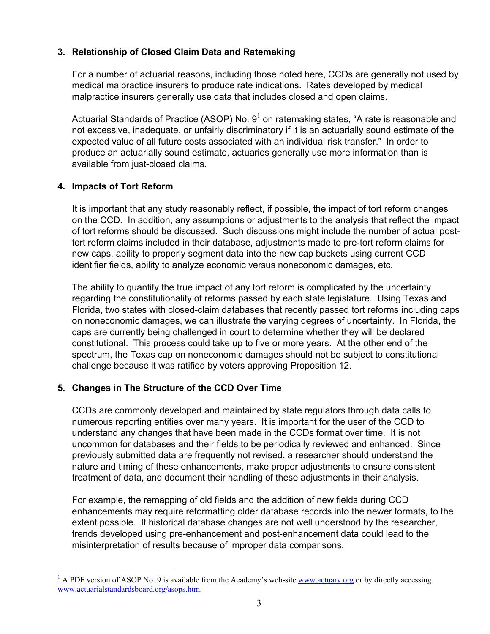#### **3. Relationship of Closed Claim Data and Ratemaking**

For a number of actuarial reasons, including those noted here, CCDs are generally not used by medical malpractice insurers to produce rate indications. Rates developed by medical malpractice insurers generally use data that includes closed and open claims.

Actuarial Standards of Practice (ASOP) No.  $9^1$  on ratemaking states, "A rate is reasonable and not excessive, inadequate, or unfairly discriminatory if it is an actuarially sound estimate of the expected value of all future costs associated with an individual risk transfer." In order to produce an actuarially sound estimate, actuaries generally use more information than is available from just-closed claims.

#### **4. Impacts of Tort Reform**

It is important that any study reasonably reflect, if possible, the impact of tort reform changes on the CCD. In addition, any assumptions or adjustments to the analysis that reflect the impact of tort reforms should be discussed. Such discussions might include the number of actual posttort reform claims included in their database, adjustments made to pre-tort reform claims for new caps, ability to properly segment data into the new cap buckets using current CCD identifier fields, ability to analyze economic versus noneconomic damages, etc.

The ability to quantify the true impact of any tort reform is complicated by the uncertainty regarding the constitutionality of reforms passed by each state legislature. Using Texas and Florida, two states with closed-claim databases that recently passed tort reforms including caps on noneconomic damages, we can illustrate the varying degrees of uncertainty. In Florida, the caps are currently being challenged in court to determine whether they will be declared constitutional. This process could take up to five or more years. At the other end of the spectrum, the Texas cap on noneconomic damages should not be subject to constitutional challenge because it was ratified by voters approving Proposition 12.

### **5. Changes in The Structure of the CCD Over Time**

CCDs are commonly developed and maintained by state regulators through data calls to numerous reporting entities over many years. It is important for the user of the CCD to understand any changes that have been made in the CCDs format over time. It is not uncommon for databases and their fields to be periodically reviewed and enhanced. Since previously submitted data are frequently not revised, a researcher should understand the nature and timing of these enhancements, make proper adjustments to ensure consistent treatment of data, and document their handling of these adjustments in their analysis.

For example, the remapping of old fields and the addition of new fields during CCD enhancements may require reformatting older database records into the newer formats, to the extent possible. If historical database changes are not well understood by the researcher, trends developed using pre-enhancement and post-enhancement data could lead to the misinterpretation of results because of improper data comparisons.

<sup>&</sup>lt;sup>1</sup> A PDF version of ASOP No. 9 is available from the Academy's web-site www.actuary.org or by directly accessing www.actuarialstandardsboard.org/asops.htm.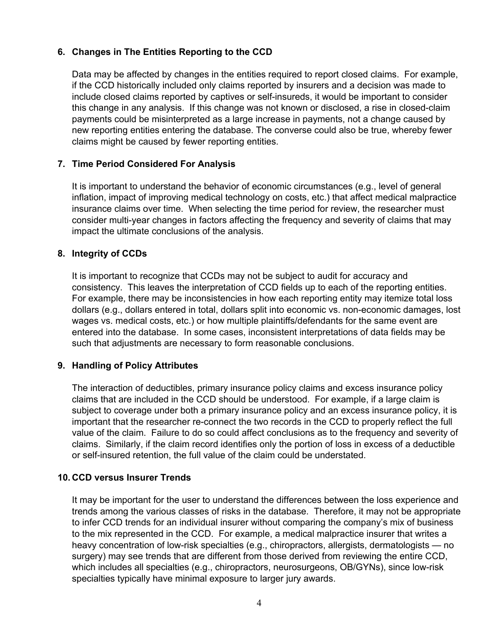#### **6. Changes in The Entities Reporting to the CCD**

Data may be affected by changes in the entities required to report closed claims. For example, if the CCD historically included only claims reported by insurers and a decision was made to include closed claims reported by captives or self-insureds, it would be important to consider this change in any analysis. If this change was not known or disclosed, a rise in closed-claim payments could be misinterpreted as a large increase in payments, not a change caused by new reporting entities entering the database. The converse could also be true, whereby fewer claims might be caused by fewer reporting entities.

#### **7. Time Period Considered For Analysis**

It is important to understand the behavior of economic circumstances (e.g., level of general inflation, impact of improving medical technology on costs, etc.) that affect medical malpractice insurance claims over time. When selecting the time period for review, the researcher must consider multi-year changes in factors affecting the frequency and severity of claims that may impact the ultimate conclusions of the analysis.

#### **8. Integrity of CCDs**

It is important to recognize that CCDs may not be subject to audit for accuracy and consistency. This leaves the interpretation of CCD fields up to each of the reporting entities. For example, there may be inconsistencies in how each reporting entity may itemize total loss dollars (e.g., dollars entered in total, dollars split into economic vs. non-economic damages, lost wages vs. medical costs, etc.) or how multiple plaintiffs/defendants for the same event are entered into the database. In some cases, inconsistent interpretations of data fields may be such that adjustments are necessary to form reasonable conclusions.

### **9. Handling of Policy Attributes**

The interaction of deductibles, primary insurance policy claims and excess insurance policy claims that are included in the CCD should be understood. For example, if a large claim is subject to coverage under both a primary insurance policy and an excess insurance policy, it is important that the researcher re-connect the two records in the CCD to properly reflect the full value of the claim. Failure to do so could affect conclusions as to the frequency and severity of claims. Similarly, if the claim record identifies only the portion of loss in excess of a deductible or self-insured retention, the full value of the claim could be understated.

#### **10. CCD versus Insurer Trends**

It may be important for the user to understand the differences between the loss experience and trends among the various classes of risks in the database. Therefore, it may not be appropriate to infer CCD trends for an individual insurer without comparing the company's mix of business to the mix represented in the CCD. For example, a medical malpractice insurer that writes a heavy concentration of low-risk specialties (e.g., chiropractors, allergists, dermatologists — no surgery) may see trends that are different from those derived from reviewing the entire CCD, which includes all specialties (e.g., chiropractors, neurosurgeons, OB/GYNs), since low-risk specialties typically have minimal exposure to larger jury awards.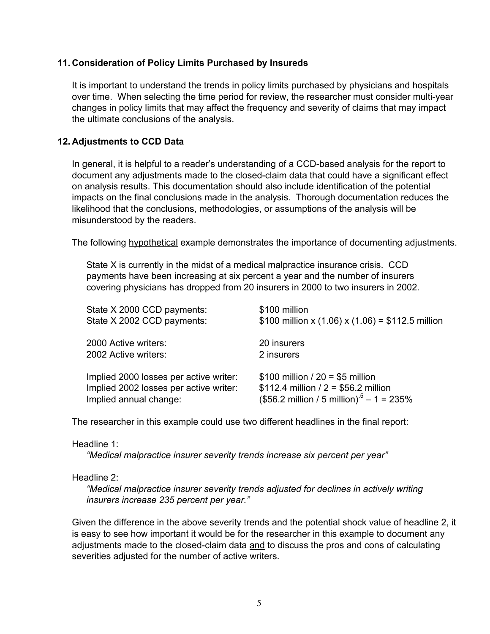#### **11. Consideration of Policy Limits Purchased by Insureds**

It is important to understand the trends in policy limits purchased by physicians and hospitals over time. When selecting the time period for review, the researcher must consider multi-year changes in policy limits that may affect the frequency and severity of claims that may impact the ultimate conclusions of the analysis.

#### **12. Adjustments to CCD Data**

In general, it is helpful to a reader's understanding of a CCD-based analysis for the report to document any adjustments made to the closed-claim data that could have a significant effect on analysis results. This documentation should also include identification of the potential impacts on the final conclusions made in the analysis. Thorough documentation reduces the likelihood that the conclusions, methodologies, or assumptions of the analysis will be misunderstood by the readers.

The following hypothetical example demonstrates the importance of documenting adjustments.

State X is currently in the midst of a medical malpractice insurance crisis. CCD payments have been increasing at six percent a year and the number of insurers covering physicians has dropped from 20 insurers in 2000 to two insurers in 2002.

| State X 2000 CCD payments:             | \$100 million                                               |
|----------------------------------------|-------------------------------------------------------------|
| State X 2002 CCD payments:             | \$100 million x (1.06) x (1.06) = \$112.5 million           |
| 2000 Active writers:                   | 20 insurers                                                 |
| 2002 Active writers:                   | 2 insurers                                                  |
| Implied 2000 losses per active writer: | $$100$ million / 20 = \$5 million                           |
| Implied 2002 losses per active writer: | \$112.4 million / $2 = $56.2$ million                       |
| Implied annual change:                 | $($56.2 \text{ million} / 5 \text{ million})^5 - 1 = 235\%$ |

The researcher in this example could use two different headlines in the final report:

#### Headline 1:

*"Medical malpractice insurer severity trends increase six percent per year"* 

Headline 2:

*"Medical malpractice insurer severity trends adjusted for declines in actively writing insurers increase 235 percent per year."* 

Given the difference in the above severity trends and the potential shock value of headline 2, it is easy to see how important it would be for the researcher in this example to document any adjustments made to the closed-claim data and to discuss the pros and cons of calculating severities adjusted for the number of active writers.